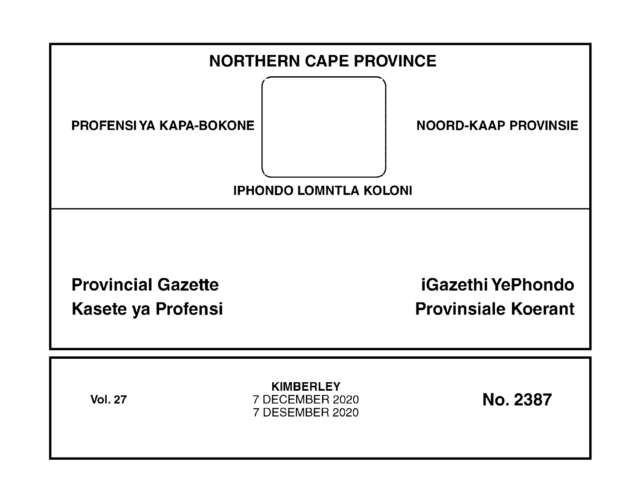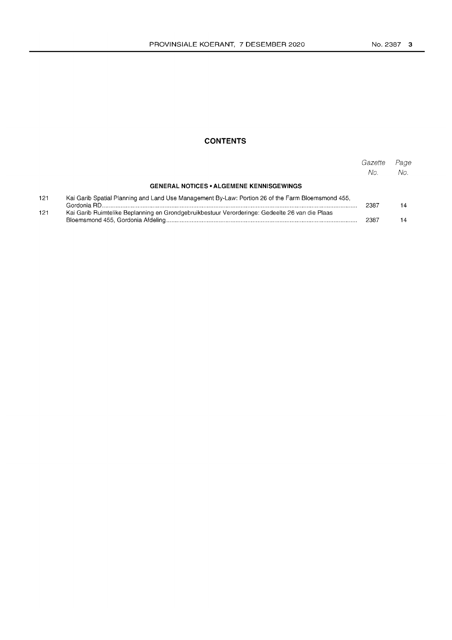## **CONTENTS**

|     |                                                                                                   | Gazette<br>No. | Page<br>No. |
|-----|---------------------------------------------------------------------------------------------------|----------------|-------------|
|     | <b>GENERAL NOTICES • ALGEMENE KENNISGEWINGS</b>                                                   |                |             |
| 121 | Kai Garib Spatial Planning and Land Use Management By-Law: Portion 26 of the Farm Bloemsmond 455, | 2387           | 14          |
| 121 | Kai Garib Ruimtelike Beplanning en Grondgebruikbestuur Verorderinge: Gedeelte 26 van die Plaas    | 2387           |             |